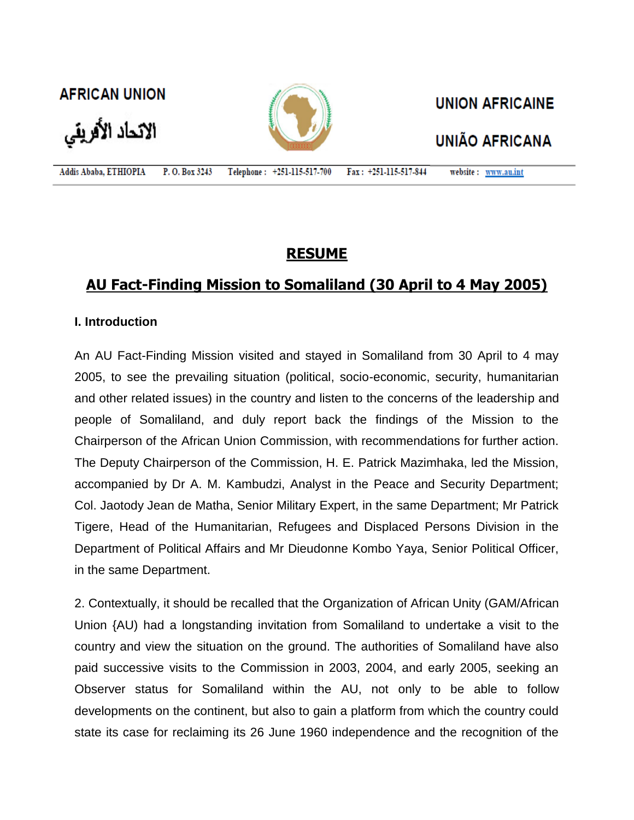**AFRICAN UNION** 

الاتحاد الأفريقي



**UNION AFRICAINE** 

# **UNIÃO AFRICANA**

Addis Ababa, ETHIOPIA P.O. Box 3243 Telephone: +251-115-517-700 Fax: +251-115-517-844 website: www.au.int

## **RESUME**

## **AU Fact-Finding Mission to Somaliland (30 April to 4 May 2005)**

### **I. Introduction**

An AU Fact-Finding Mission visited and stayed in Somaliland from 30 April to 4 may 2005, to see the prevailing situation (political, socio-economic, security, humanitarian and other related issues) in the country and listen to the concerns of the leadership and people of Somaliland, and duly report back the findings of the Mission to the Chairperson of the African Union Commission, with recommendations for further action. The Deputy Chairperson of the Commission, H. E. Patrick Mazimhaka, led the Mission, accompanied by Dr A. M. Kambudzi, Analyst in the Peace and Security Department; Col. Jaotody Jean de Matha, Senior Military Expert, in the same Department; Mr Patrick Tigere, Head of the Humanitarian, Refugees and Displaced Persons Division in the Department of Political Affairs and Mr Dieudonne Kombo Yaya, Senior Political Officer, in the same Department.

2. Contextually, it should be recalled that the Organization of African Unity (GAM/African Union {AU) had a longstanding invitation from Somaliland to undertake a visit to the country and view the situation on the ground. The authorities of Somaliland have also paid successive visits to the Commission in 2003, 2004, and early 2005, seeking an Observer status for Somaliland within the AU, not only to be able to follow developments on the continent, but also to gain a platform from which the country could state its case for reclaiming its 26 June 1960 independence and the recognition of the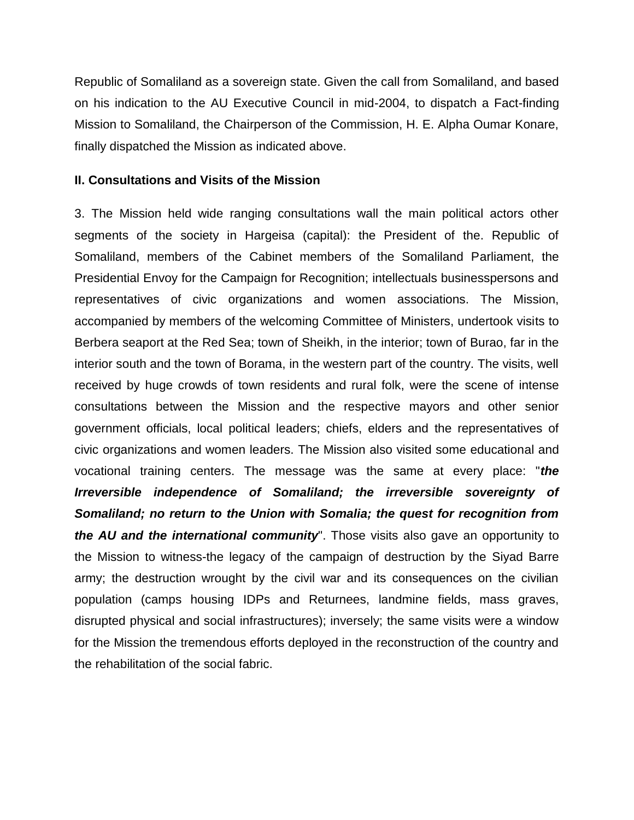Republic of Somaliland as a sovereign state. Given the call from Somaliland, and based on his indication to the AU Executive Council in mid-2004, to dispatch a Fact-finding Mission to Somaliland, the Chairperson of the Commission, H. E. Alpha Oumar Konare, finally dispatched the Mission as indicated above.

#### **II. Consultations and Visits of the Mission**

3. The Mission held wide ranging consultations wall the main political actors other segments of the society in Hargeisa (capital): the President of the. Republic of Somaliland, members of the Cabinet members of the Somaliland Parliament, the Presidential Envoy for the Campaign for Recognition; intellectuals businesspersons and representatives of civic organizations and women associations. The Mission, accompanied by members of the welcoming Committee of Ministers, undertook visits to Berbera seaport at the Red Sea; town of Sheikh, in the interior; town of Burao, far in the interior south and the town of Borama, in the western part of the country. The visits, well received by huge crowds of town residents and rural folk, were the scene of intense consultations between the Mission and the respective mayors and other senior government officials, local political leaders; chiefs, elders and the representatives of civic organizations and women leaders. The Mission also visited some educational and vocational training centers. The message was the same at every place: "*the Irreversible independence of Somaliland; the irreversible sovereignty of Somaliland; no return to the Union with Somalia; the quest for recognition from the AU and the international community*". Those visits also gave an opportunity to the Mission to witness-the legacy of the campaign of destruction by the Siyad Barre army; the destruction wrought by the civil war and its consequences on the civilian population (camps housing IDPs and Returnees, landmine fields, mass graves, disrupted physical and social infrastructures); inversely; the same visits were a window for the Mission the tremendous efforts deployed in the reconstruction of the country and the rehabilitation of the social fabric.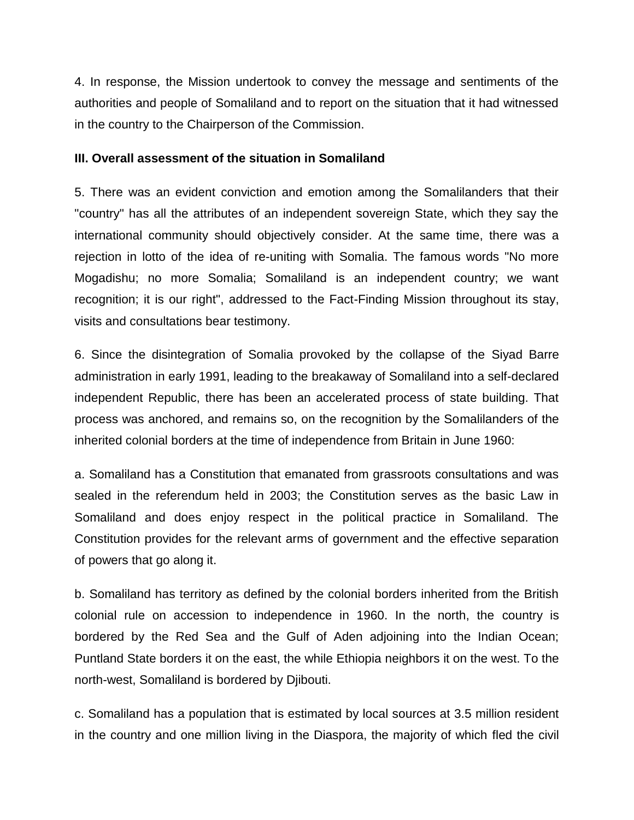4. In response, the Mission undertook to convey the message and sentiments of the authorities and people of Somaliland and to report on the situation that it had witnessed in the country to the Chairperson of the Commission.

## **III. Overall assessment of the situation in Somaliland**

5. There was an evident conviction and emotion among the Somalilanders that their "country" has all the attributes of an independent sovereign State, which they say the international community should objectively consider. At the same time, there was a rejection in lotto of the idea of re-uniting with Somalia. The famous words "No more Mogadishu; no more Somalia; Somaliland is an independent country; we want recognition; it is our right", addressed to the Fact-Finding Mission throughout its stay, visits and consultations bear testimony.

6. Since the disintegration of Somalia provoked by the collapse of the Siyad Barre administration in early 1991, leading to the breakaway of Somaliland into a self-declared independent Republic, there has been an accelerated process of state building. That process was anchored, and remains so, on the recognition by the Somalilanders of the inherited colonial borders at the time of independence from Britain in June 1960:

a. Somaliland has a Constitution that emanated from grassroots consultations and was sealed in the referendum held in 2003; the Constitution serves as the basic Law in Somaliland and does enjoy respect in the political practice in Somaliland. The Constitution provides for the relevant arms of government and the effective separation of powers that go along it.

b. Somaliland has territory as defined by the colonial borders inherited from the British colonial rule on accession to independence in 1960. In the north, the country is bordered by the Red Sea and the Gulf of Aden adjoining into the Indian Ocean; Puntland State borders it on the east, the while Ethiopia neighbors it on the west. To the north-west, Somaliland is bordered by Djibouti.

c. Somaliland has a population that is estimated by local sources at 3.5 million resident in the country and one million living in the Diaspora, the majority of which fled the civil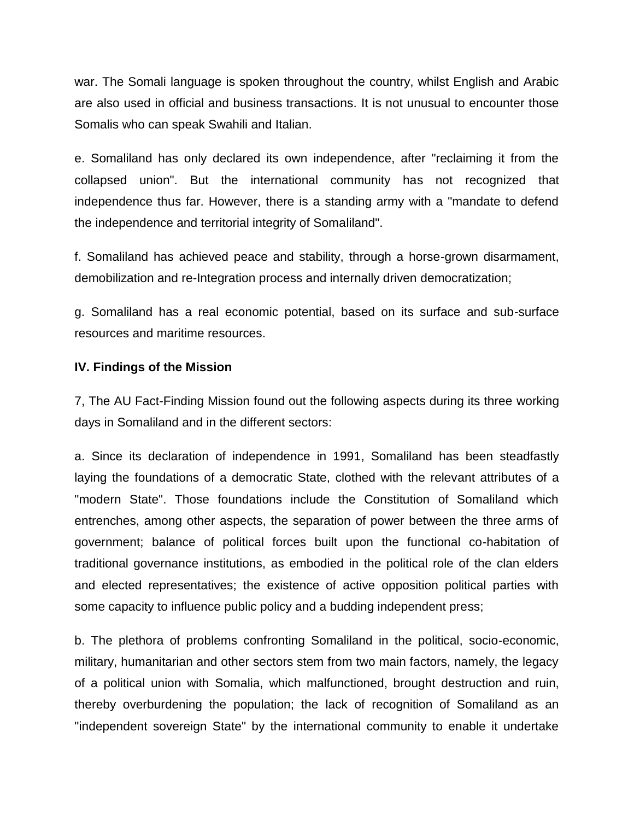war. The Somali language is spoken throughout the country, whilst English and Arabic are also used in official and business transactions. It is not unusual to encounter those Somalis who can speak Swahili and Italian.

e. Somaliland has only declared its own independence, after "reclaiming it from the collapsed union". But the international community has not recognized that independence thus far. However, there is a standing army with a "mandate to defend the independence and territorial integrity of Somaliland".

f. Somaliland has achieved peace and stability, through a horse-grown disarmament, demobilization and re-Integration process and internally driven democratization;

g. Somaliland has a real economic potential, based on its surface and sub-surface resources and maritime resources.

## **IV. Findings of the Mission**

7, The AU Fact-Finding Mission found out the following aspects during its three working days in Somaliland and in the different sectors:

a. Since its declaration of independence in 1991, Somaliland has been steadfastly laying the foundations of a democratic State, clothed with the relevant attributes of a "modern State". Those foundations include the Constitution of Somaliland which entrenches, among other aspects, the separation of power between the three arms of government; balance of political forces built upon the functional co-habitation of traditional governance institutions, as embodied in the political role of the clan elders and elected representatives; the existence of active opposition political parties with some capacity to influence public policy and a budding independent press;

b. The plethora of problems confronting Somaliland in the political, socio-economic, military, humanitarian and other sectors stem from two main factors, namely, the legacy of a political union with Somalia, which malfunctioned, brought destruction and ruin, thereby overburdening the population; the lack of recognition of Somaliland as an "independent sovereign State" by the international community to enable it undertake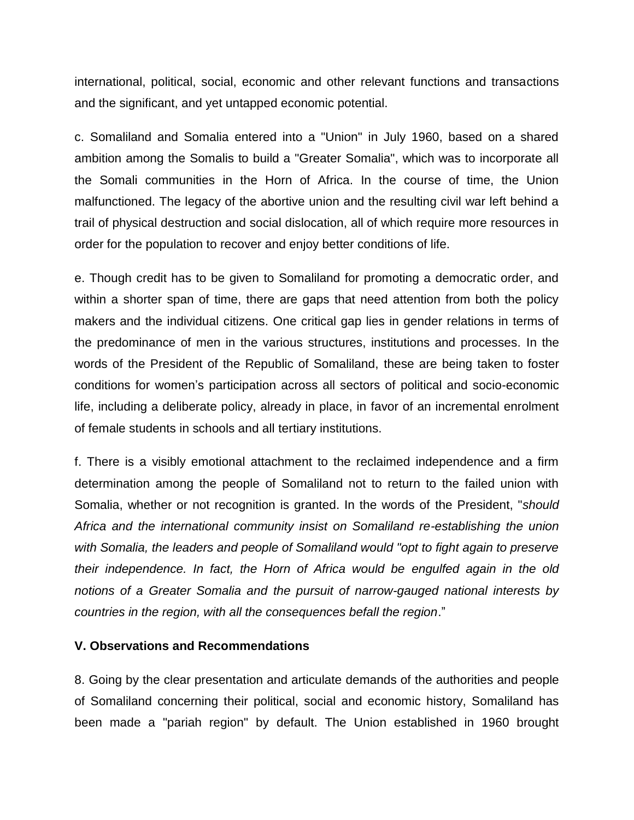international, political, social, economic and other relevant functions and transactions and the significant, and yet untapped economic potential.

c. Somaliland and Somalia entered into a "Union" in July 1960, based on a shared ambition among the Somalis to build a "Greater Somalia", which was to incorporate all the Somali communities in the Horn of Africa. In the course of time, the Union malfunctioned. The legacy of the abortive union and the resulting civil war left behind a trail of physical destruction and social dislocation, all of which require more resources in order for the population to recover and enjoy better conditions of life.

e. Though credit has to be given to Somaliland for promoting a democratic order, and within a shorter span of time, there are gaps that need attention from both the policy makers and the individual citizens. One critical gap lies in gender relations in terms of the predominance of men in the various structures, institutions and processes. In the words of the President of the Republic of Somaliland, these are being taken to foster conditions for women's participation across all sectors of political and socio-economic life, including a deliberate policy, already in place, in favor of an incremental enrolment of female students in schools and all tertiary institutions.

f. There is a visibly emotional attachment to the reclaimed independence and a firm determination among the people of Somaliland not to return to the failed union with Somalia, whether or not recognition is granted. In the words of the President, "*should Africa and the international community insist on Somaliland re-establishing the union with Somalia, the leaders and people of Somaliland would "opt to fight again to preserve their independence. In fact, the Horn of Africa would be engulfed again in the old notions of a Greater Somalia and the pursuit of narrow-gauged national interests by countries in the region, with all the consequences befall the region*."

## **V. Observations and Recommendations**

8. Going by the clear presentation and articulate demands of the authorities and people of Somaliland concerning their political, social and economic history, Somaliland has been made a "pariah region" by default. The Union established in 1960 brought